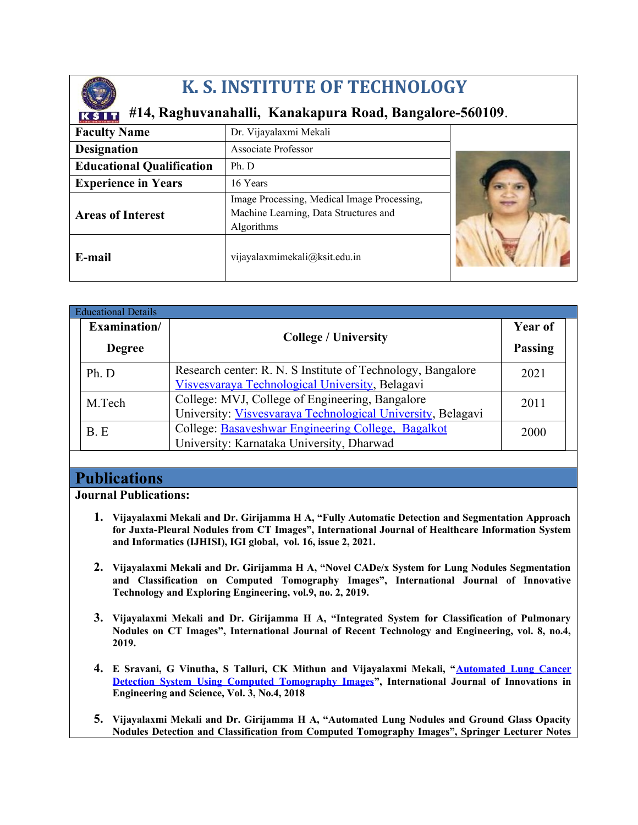

# **K. S. INSTITUTE OF TECHNOLOGY**

# **#14, Raghuvanahalli, Kanakapura Road, Bangalore-560109**.

| <b>Faculty Name</b>              | Dr. Vijayalaxmi Mekali                                                                             |  |
|----------------------------------|----------------------------------------------------------------------------------------------------|--|
| <b>Designation</b>               | Associate Professor                                                                                |  |
| <b>Educational Qualification</b> | Ph. D                                                                                              |  |
| <b>Experience in Years</b>       | 16 Years                                                                                           |  |
| <b>Areas of Interest</b>         | Image Processing, Medical Image Processing,<br>Machine Learning, Data Structures and<br>Algorithms |  |
| E-mail                           | vijayalaxmimekali@ksit.edu.in                                                                      |  |

| <b>Educational Details</b> |                                                                                                                |                |
|----------------------------|----------------------------------------------------------------------------------------------------------------|----------------|
| Examination/               |                                                                                                                | <b>Year of</b> |
| <b>Degree</b>              | <b>College / University</b>                                                                                    | <b>Passing</b> |
| Ph. D                      | Research center: R. N. S Institute of Technology, Bangalore<br>Visvesvaraya Technological University, Belagavi | 2021           |
| M.Tech                     | College: MVJ, College of Engineering, Bangalore<br>University: Visvesvaraya Technological University, Belagavi | 2011           |
| B.E                        | College: Basaveshwar Engineering College, Bagalkot<br>University: Karnataka University, Dharwad                | 2000           |

## **Publications**

**Journal Publications:**

- **1. Vijayalaxmi Mekali and Dr. Girijamma H A, "Fully Automatic Detection and Segmentation Approach for Juxta-Pleural Nodules from CT Images", International Journal of Healthcare Information System and Informatics (IJHISI), IGI global, vol. 16, issue 2, 2021.**
- **2. Vijayalaxmi Mekali and Dr. Girijamma H A, "Novel CADe/x System for Lung Nodules Segmentation and Classification on Computed Tomography Images", International Journal of Innovative Technology and Exploring Engineering, vol.9, no. 2, 2019.**
- **3. Vijayalaxmi Mekali and Dr. Girijamma H A, "Integrated System for Classification of Pulmonary Nodules on CT Images", International Journal of Recent Technology and Engineering, vol. 8, no.4, 2019.**
- **4. E Sravani, G Vinutha, S Talluri, CK Mithun and Vijayalaxmi Mekali, "[Automated Lung Cancer](https://www.academia.edu/download/56931859/Automated_Lung_Cancer_Detection_System_Using.pdf) [Detection System Using Computed Tomography Images](https://www.academia.edu/download/56931859/Automated_Lung_Cancer_Detection_System_Using.pdf)", International Journal of Innovations in Engineering and Science, Vol. 3, No.4, 2018**
- **5. Vijayalaxmi Mekali and Dr. Girijamma H A, "Automated Lung Nodules and Ground Glass Opacity Nodules Detection and Classification from Computed Tomography Images", Springer Lecturer Notes**